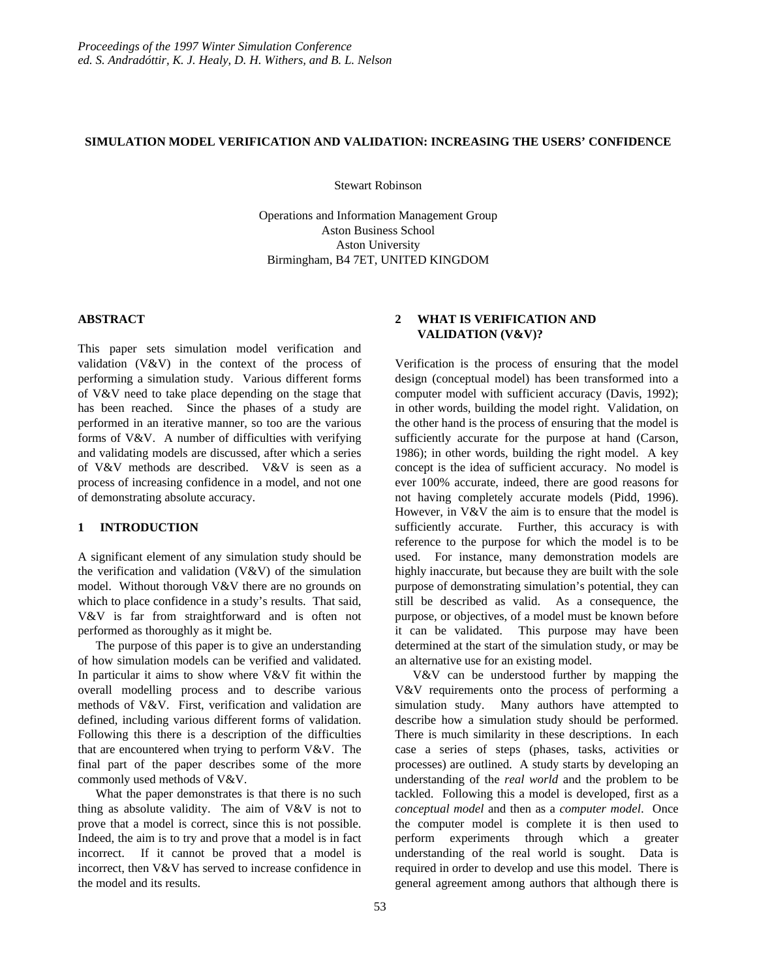## **SIMULATION MODEL VERIFICATION AND VALIDATION: INCREASING THE USERS' CONFIDENCE**

Stewart Robinson

Operations and Information Management Group Aston Business School Aston University Birmingham, B4 7ET, UNITED KINGDOM

### **ABSTRACT**

This paper sets simulation model verification and validation (V&V) in the context of the process of performing a simulation study. Various different forms of V&V need to take place depending on the stage that has been reached. Since the phases of a study are performed in an iterative manner, so too are the various forms of V&V. A number of difficulties with verifying and validating models are discussed, after which a series of V&V methods are described. V&V is seen as a process of increasing confidence in a model, and not one of demonstrating absolute accuracy.

## **1 INTRODUCTION**

A significant element of any simulation study should be the verification and validation (V&V) of the simulation model. Without thorough V&V there are no grounds on which to place confidence in a study's results. That said, V&V is far from straightforward and is often not performed as thoroughly as it might be.

The purpose of this paper is to give an understanding of how simulation models can be verified and validated. In particular it aims to show where V&V fit within the overall modelling process and to describe various methods of V&V. First, verification and validation are defined, including various different forms of validation. Following this there is a description of the difficulties that are encountered when trying to perform  $V&V$ . The final part of the paper describes some of the more commonly used methods of V&V.

What the paper demonstrates is that there is no such thing as absolute validity. The aim of V&V is not to prove that a model is correct, since this is not possible. Indeed, the aim is to try and prove that a model is in fact incorrect. If it cannot be proved that a model is incorrect, then V&V has served to increase confidence in the model and its results.

# **2 WHAT IS VERIFICATION AND VALIDATION (V&V)?**

Verification is the process of ensuring that the model design (conceptual model) has been transformed into a computer model with sufficient accuracy (Davis, 1992); in other words, building the model right. Validation, on the other hand is the process of ensuring that the model is sufficiently accurate for the purpose at hand (Carson, 1986); in other words, building the right model. A key concept is the idea of sufficient accuracy. No model is ever 100% accurate, indeed, there are good reasons for not having completely accurate models (Pidd, 1996). However, in V&V the aim is to ensure that the model is sufficiently accurate. Further, this accuracy is with reference to the purpose for which the model is to be used. For instance, many demonstration models are highly inaccurate, but because they are built with the sole purpose of demonstrating simulation's potential, they can still be described as valid. As a consequence, the purpose, or objectives, of a model must be known before it can be validated. This purpose may have been determined at the start of the simulation study, or may be an alternative use for an existing model.

V&V can be understood further by mapping the V&V requirements onto the process of performing a simulation study. Many authors have attempted to describe how a simulation study should be performed. There is much similarity in these descriptions. In each case a series of steps (phases, tasks, activities or processes) are outlined. A study starts by developing an understanding of the *real world* and the problem to be tackled. Following this a model is developed, first as a *conceptual model* and then as a *computer model*. Once the computer model is complete it is then used to perform experiments through which a greater understanding of the real world is sought. Data is required in order to develop and use this model. There is general agreement among authors that although there is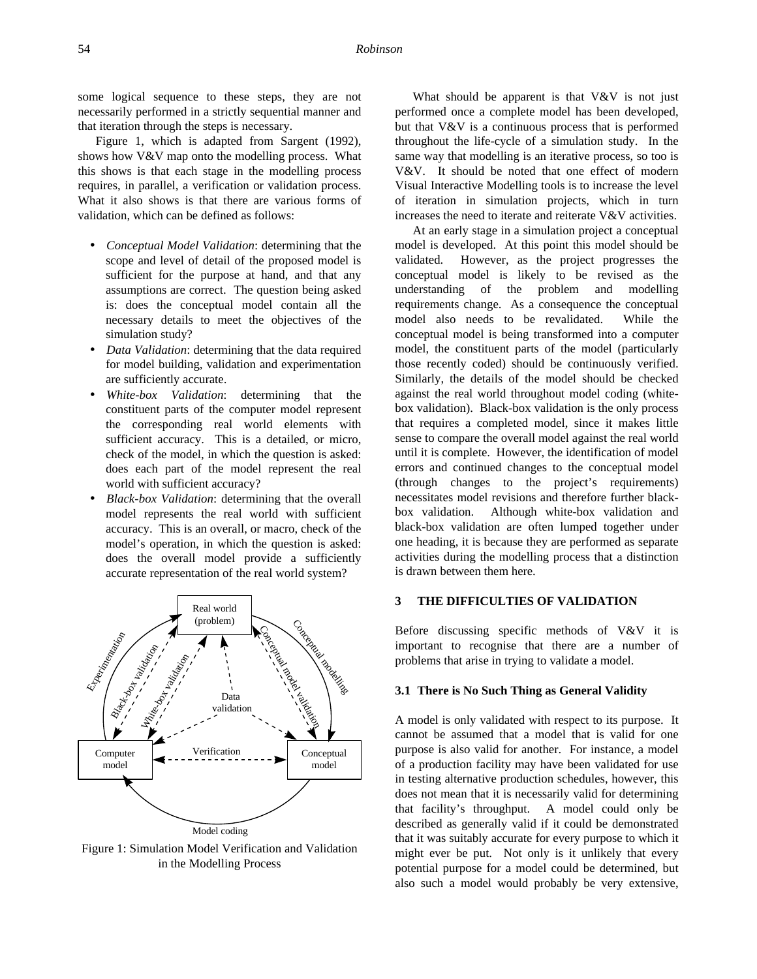some logical sequence to these steps, they are not necessarily performed in a strictly sequential manner and that iteration through the steps is necessary.

Figure 1, which is adapted from Sargent (1992), shows how V&V map onto the modelling process. What this shows is that each stage in the modelling process requires, in parallel, a verification or validation process. What it also shows is that there are various forms of validation, which can be defined as follows:

- *Conceptual Model Validation*: determining that the scope and level of detail of the proposed model is sufficient for the purpose at hand, and that any assumptions are correct. The question being asked is: does the conceptual model contain all the necessary details to meet the objectives of the simulation study?
- *Data Validation*: determining that the data required for model building, validation and experimentation are sufficiently accurate.
- *White-box Validation*: determining that the constituent parts of the computer model represent the corresponding real world elements with sufficient accuracy. This is a detailed, or micro, check of the model, in which the question is asked: does each part of the model represent the real world with sufficient accuracy?
- *Black-box Validation*: determining that the overall model represents the real world with sufficient accuracy. This is an overall, or macro, check of the model's operation, in which the question is asked: does the overall model provide a sufficiently accurate representation of the real world system?



Figure 1: Simulation Model Verification and Validation in the Modelling Process

What should be apparent is that V&V is not just performed once a complete model has been developed, but that V&V is a continuous process that is performed throughout the life-cycle of a simulation study. In the same way that modelling is an iterative process, so too is V&V. It should be noted that one effect of modern Visual Interactive Modelling tools is to increase the level of iteration in simulation projects, which in turn increases the need to iterate and reiterate V&V activities.

At an early stage in a simulation project a conceptual model is developed. At this point this model should be validated. However, as the project progresses the conceptual model is likely to be revised as the understanding of the problem and modelling requirements change. As a consequence the conceptual model also needs to be revalidated. While the conceptual model is being transformed into a computer model, the constituent parts of the model (particularly those recently coded) should be continuously verified. Similarly, the details of the model should be checked against the real world throughout model coding (whitebox validation). Black-box validation is the only process that requires a completed model, since it makes little sense to compare the overall model against the real world until it is complete. However, the identification of model errors and continued changes to the conceptual model (through changes to the project's requirements) necessitates model revisions and therefore further blackbox validation. Although white-box validation and black-box validation are often lumped together under one heading, it is because they are performed as separate activities during the modelling process that a distinction is drawn between them here.

### **3 THE DIFFICULTIES OF VALIDATION**

Before discussing specific methods of V&V it is important to recognise that there are a number of problems that arise in trying to validate a model.

### **3.1 There is No Such Thing as General Validity**

A model is only validated with respect to its purpose. It cannot be assumed that a model that is valid for one purpose is also valid for another. For instance, a model of a production facility may have been validated for use in testing alternative production schedules, however, this does not mean that it is necessarily valid for determining that facility's throughput. A model could only be described as generally valid if it could be demonstrated that it was suitably accurate for every purpose to which it might ever be put. Not only is it unlikely that every potential purpose for a model could be determined, but also such a model would probably be very extensive,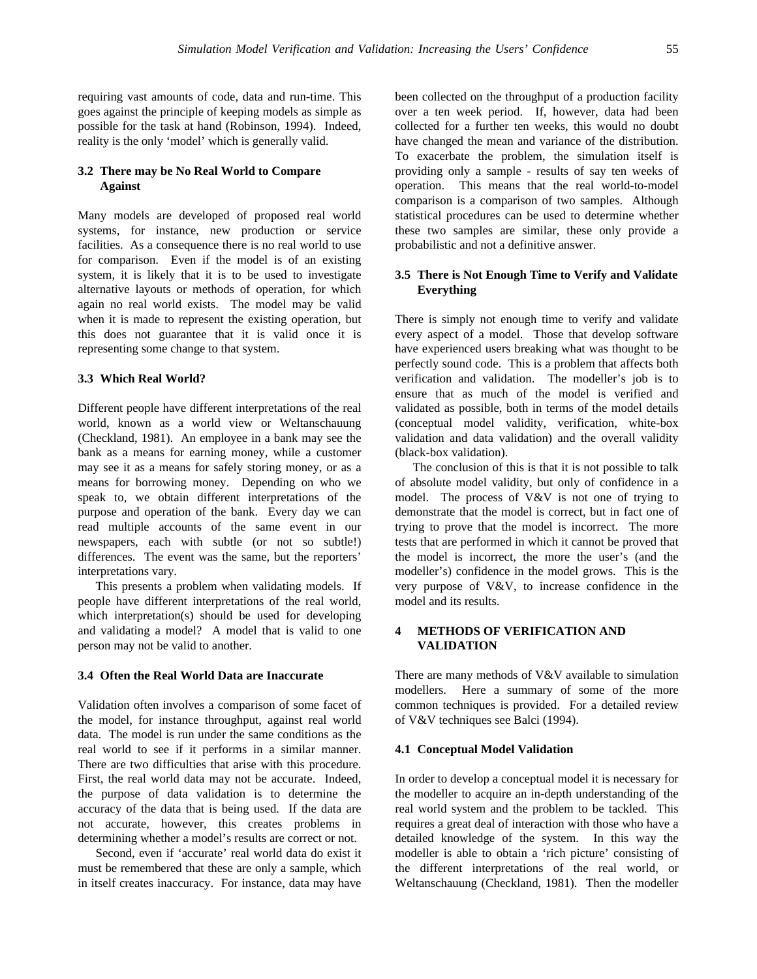requiring vast amounts of code, data and run-time. This goes against the principle of keeping models as simple as possible for the task at hand (Robinson, 1994). Indeed, reality is the only 'model' which is generally valid.

## **3.2 There may be No Real World to Compare Against**

Many models are developed of proposed real world systems, for instance, new production or service facilities. As a consequence there is no real world to use for comparison. Even if the model is of an existing system, it is likely that it is to be used to investigate alternative layouts or methods of operation, for which again no real world exists. The model may be valid when it is made to represent the existing operation, but this does not guarantee that it is valid once it is representing some change to that system.

### **3.3 Which Real World?**

Different people have different interpretations of the real world, known as a world view or Weltanschauung (Checkland, 1981). An employee in a bank may see the bank as a means for earning money, while a customer may see it as a means for safely storing money, or as a means for borrowing money. Depending on who we speak to, we obtain different interpretations of the purpose and operation of the bank. Every day we can read multiple accounts of the same event in our newspapers, each with subtle (or not so subtle!) differences. The event was the same, but the reporters' interpretations vary.

This presents a problem when validating models. If people have different interpretations of the real world, which interpretation(s) should be used for developing and validating a model? A model that is valid to one person may not be valid to another.

#### **3.4 Often the Real World Data are Inaccurate**

Validation often involves a comparison of some facet of the model, for instance throughput, against real world data. The model is run under the same conditions as the real world to see if it performs in a similar manner. There are two difficulties that arise with this procedure. First, the real world data may not be accurate. Indeed, the purpose of data validation is to determine the accuracy of the data that is being used. If the data are not accurate, however, this creates problems in determining whether a model's results are correct or not.

Second, even if 'accurate' real world data do exist it must be remembered that these are only a sample, which in itself creates inaccuracy. For instance, data may have

been collected on the throughput of a production facility over a ten week period. If, however, data had been collected for a further ten weeks, this would no doubt have changed the mean and variance of the distribution. To exacerbate the problem, the simulation itself is providing only a sample - results of say ten weeks of operation. This means that the real world-to-model comparison is a comparison of two samples. Although statistical procedures can be used to determine whether these two samples are similar, these only provide a probabilistic and not a definitive answer.

## **3.5 There is Not Enough Time to Verify and Validate Everything**

There is simply not enough time to verify and validate every aspect of a model. Those that develop software have experienced users breaking what was thought to be perfectly sound code. This is a problem that affects both verification and validation. The modeller's job is to ensure that as much of the model is verified and validated as possible, both in terms of the model details (conceptual model validity, verification, white-box validation and data validation) and the overall validity (black-box validation).

The conclusion of this is that it is not possible to talk of absolute model validity, but only of confidence in a model. The process of V&V is not one of trying to demonstrate that the model is correct, but in fact one of trying to prove that the model is incorrect. The more tests that are performed in which it cannot be proved that the model is incorrect, the more the user's (and the modeller's) confidence in the model grows. This is the very purpose of V&V, to increase confidence in the model and its results.

## **4 METHODS OF VERIFICATION AND VALIDATION**

There are many methods of V&V available to simulation modellers. Here a summary of some of the more common techniques is provided. For a detailed review of V&V techniques see Balci (1994).

### **4.1 Conceptual Model Validation**

In order to develop a conceptual model it is necessary for the modeller to acquire an in-depth understanding of the real world system and the problem to be tackled. This requires a great deal of interaction with those who have a detailed knowledge of the system. In this way the modeller is able to obtain a 'rich picture' consisting of the different interpretations of the real world, or Weltanschauung (Checkland, 1981). Then the modeller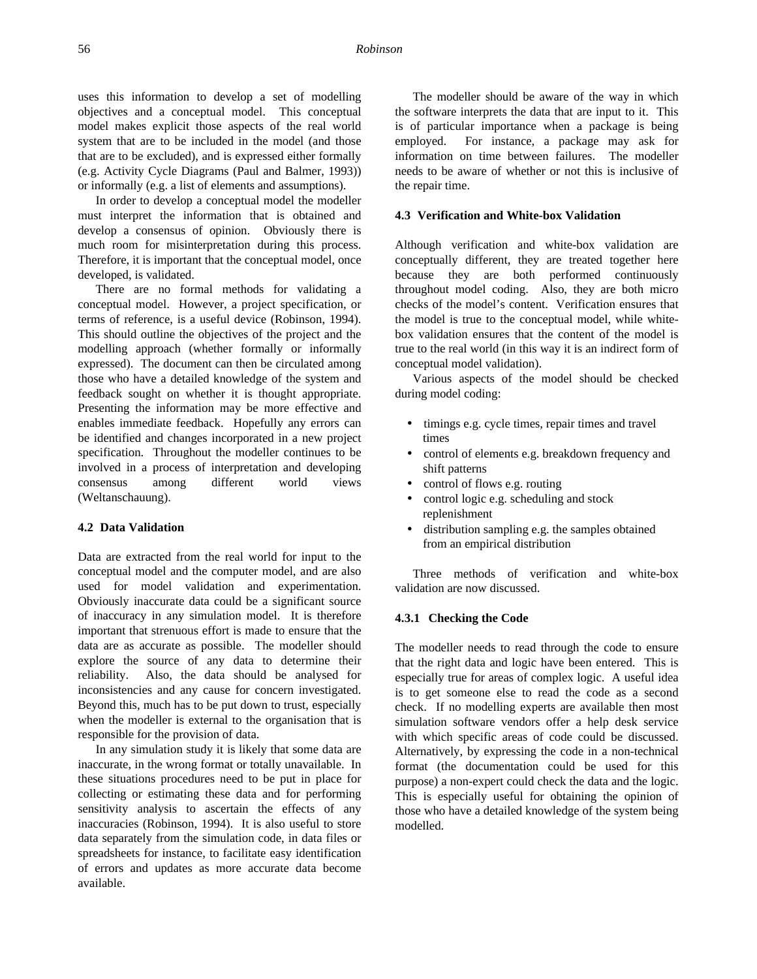uses this information to develop a set of modelling objectives and a conceptual model. This conceptual model makes explicit those aspects of the real world system that are to be included in the model (and those that are to be excluded), and is expressed either formally (e.g. Activity Cycle Diagrams (Paul and Balmer, 1993)) or informally (e.g. a list of elements and assumptions).

In order to develop a conceptual model the modeller must interpret the information that is obtained and develop a consensus of opinion. Obviously there is much room for misinterpretation during this process. Therefore, it is important that the conceptual model, once developed, is validated.

There are no formal methods for validating a conceptual model. However, a project specification, or terms of reference, is a useful device (Robinson, 1994). This should outline the objectives of the project and the modelling approach (whether formally or informally expressed). The document can then be circulated among those who have a detailed knowledge of the system and feedback sought on whether it is thought appropriate. Presenting the information may be more effective and enables immediate feedback. Hopefully any errors can be identified and changes incorporated in a new project specification. Throughout the modeller continues to be involved in a process of interpretation and developing consensus among different world views (Weltanschauung).

### **4.2 Data Validation**

Data are extracted from the real world for input to the conceptual model and the computer model, and are also used for model validation and experimentation. Obviously inaccurate data could be a significant source of inaccuracy in any simulation model. It is therefore important that strenuous effort is made to ensure that the data are as accurate as possible. The modeller should explore the source of any data to determine their reliability. Also, the data should be analysed for inconsistencies and any cause for concern investigated. Beyond this, much has to be put down to trust, especially when the modeller is external to the organisation that is responsible for the provision of data.

In any simulation study it is likely that some data are inaccurate, in the wrong format or totally unavailable. In these situations procedures need to be put in place for collecting or estimating these data and for performing sensitivity analysis to ascertain the effects of any inaccuracies (Robinson, 1994). It is also useful to store data separately from the simulation code, in data files or spreadsheets for instance, to facilitate easy identification of errors and updates as more accurate data become available.

The modeller should be aware of the way in which the software interprets the data that are input to it. This is of particular importance when a package is being employed. For instance, a package may ask for information on time between failures. The modeller needs to be aware of whether or not this is inclusive of the repair time.

### **4.3 Verification and White-box Validation**

Although verification and white-box validation are conceptually different, they are treated together here because they are both performed continuously throughout model coding. Also, they are both micro checks of the model's content. Verification ensures that the model is true to the conceptual model, while whitebox validation ensures that the content of the model is true to the real world (in this way it is an indirect form of conceptual model validation).

Various aspects of the model should be checked during model coding:

- timings e.g. cycle times, repair times and travel times
- control of elements e.g. breakdown frequency and shift patterns
- control of flows e.g. routing
- control logic e.g. scheduling and stock replenishment
- distribution sampling e.g. the samples obtained from an empirical distribution

Three methods of verification and white-box validation are now discussed.

### **4.3.1 Checking the Code**

The modeller needs to read through the code to ensure that the right data and logic have been entered. This is especially true for areas of complex logic. A useful idea is to get someone else to read the code as a second check. If no modelling experts are available then most simulation software vendors offer a help desk service with which specific areas of code could be discussed. Alternatively, by expressing the code in a non-technical format (the documentation could be used for this purpose) a non-expert could check the data and the logic. This is especially useful for obtaining the opinion of those who have a detailed knowledge of the system being modelled.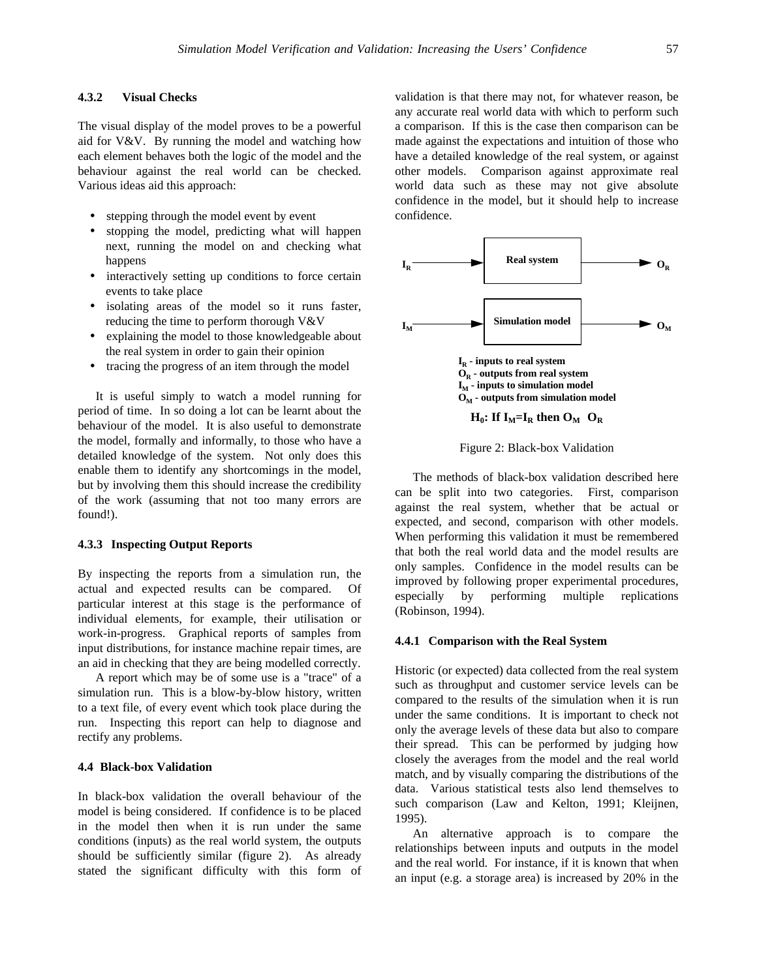## **4.3.2 Visual Checks**

The visual display of the model proves to be a powerful aid for V&V. By running the model and watching how each element behaves both the logic of the model and the behaviour against the real world can be checked. Various ideas aid this approach:

- stepping through the model event by event
- stopping the model, predicting what will happen next, running the model on and checking what happens
- interactively setting up conditions to force certain events to take place
- isolating areas of the model so it runs faster, reducing the time to perform thorough V&V
- explaining the model to those knowledgeable about the real system in order to gain their opinion
- tracing the progress of an item through the model

It is useful simply to watch a model running for period of time. In so doing a lot can be learnt about the behaviour of the model. It is also useful to demonstrate the model, formally and informally, to those who have a detailed knowledge of the system. Not only does this enable them to identify any shortcomings in the model, but by involving them this should increase the credibility of the work (assuming that not too many errors are found!).

### **4.3.3 Inspecting Output Reports**

By inspecting the reports from a simulation run, the actual and expected results can be compared. Of particular interest at this stage is the performance of individual elements, for example, their utilisation or work-in-progress. Graphical reports of samples from input distributions, for instance machine repair times, are an aid in checking that they are being modelled correctly.

A report which may be of some use is a "trace" of a simulation run. This is a blow-by-blow history, written to a text file, of every event which took place during the run. Inspecting this report can help to diagnose and rectify any problems.

## **4.4 Black-box Validation**

In black-box validation the overall behaviour of the model is being considered. If confidence is to be placed in the model then when it is run under the same conditions (inputs) as the real world system, the outputs should be sufficiently similar (figure 2). As already stated the significant difficulty with this form of

validation is that there may not, for whatever reason, be any accurate real world data with which to perform such a comparison. If this is the case then comparison can be made against the expectations and intuition of those who have a detailed knowledge of the real system, or against other models. Comparison against approximate real world data such as these may not give absolute confidence in the model, but it should help to increase confidence.





The methods of black-box validation described here can be split into two categories. First, comparison against the real system, whether that be actual or expected, and second, comparison with other models. When performing this validation it must be remembered that both the real world data and the model results are only samples. Confidence in the model results can be improved by following proper experimental procedures, especially by performing multiple replications (Robinson, 1994).

#### **4.4.1 Comparison with the Real System**

Historic (or expected) data collected from the real system such as throughput and customer service levels can be compared to the results of the simulation when it is run under the same conditions. It is important to check not only the average levels of these data but also to compare their spread. This can be performed by judging how closely the averages from the model and the real world match, and by visually comparing the distributions of the data. Various statistical tests also lend themselves to such comparison (Law and Kelton, 1991; Kleijnen, 1995).

An alternative approach is to compare the relationships between inputs and outputs in the model and the real world. For instance, if it is known that when an input (e.g. a storage area) is increased by 20% in the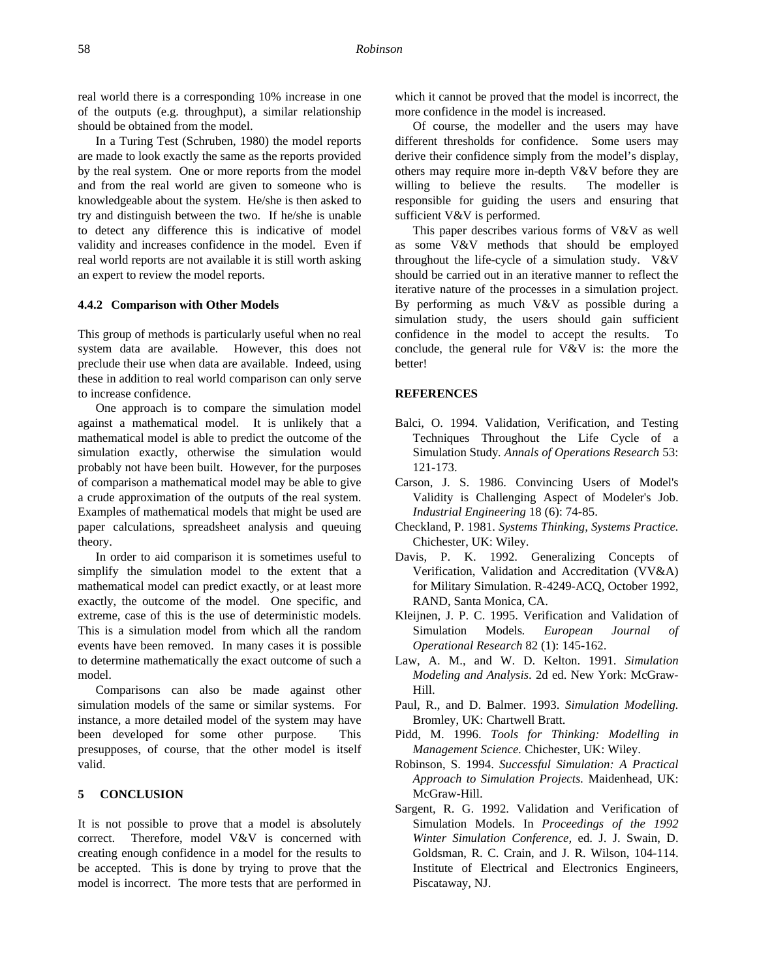real world there is a corresponding 10% increase in one of the outputs (e.g. throughput), a similar relationship should be obtained from the model.

In a Turing Test (Schruben, 1980) the model reports are made to look exactly the same as the reports provided by the real system. One or more reports from the model and from the real world are given to someone who is knowledgeable about the system. He/she is then asked to try and distinguish between the two. If he/she is unable to detect any difference this is indicative of model validity and increases confidence in the model. Even if real world reports are not available it is still worth asking an expert to review the model reports.

## **4.4.2 Comparison with Other Models**

This group of methods is particularly useful when no real system data are available. However, this does not preclude their use when data are available. Indeed, using these in addition to real world comparison can only serve to increase confidence.

One approach is to compare the simulation model against a mathematical model. It is unlikely that a mathematical model is able to predict the outcome of the simulation exactly, otherwise the simulation would probably not have been built. However, for the purposes of comparison a mathematical model may be able to give a crude approximation of the outputs of the real system. Examples of mathematical models that might be used are paper calculations, spreadsheet analysis and queuing theory.

In order to aid comparison it is sometimes useful to simplify the simulation model to the extent that a mathematical model can predict exactly, or at least more exactly, the outcome of the model. One specific, and extreme, case of this is the use of deterministic models. This is a simulation model from which all the random events have been removed. In many cases it is possible to determine mathematically the exact outcome of such a model.

Comparisons can also be made against other simulation models of the same or similar systems. For instance, a more detailed model of the system may have been developed for some other purpose. This presupposes, of course, that the other model is itself valid.

## **5 CONCLUSION**

It is not possible to prove that a model is absolutely correct. Therefore, model V&V is concerned with creating enough confidence in a model for the results to be accepted. This is done by trying to prove that the model is incorrect. The more tests that are performed in which it cannot be proved that the model is incorrect, the more confidence in the model is increased.

Of course, the modeller and the users may have different thresholds for confidence. Some users may derive their confidence simply from the model's display, others may require more in-depth V&V before they are willing to believe the results. The modeller is responsible for guiding the users and ensuring that sufficient V&V is performed.

This paper describes various forms of V&V as well as some V&V methods that should be employed throughout the life-cycle of a simulation study. V&V should be carried out in an iterative manner to reflect the iterative nature of the processes in a simulation project. By performing as much V&V as possible during a simulation study, the users should gain sufficient confidence in the model to accept the results. To conclude, the general rule for V&V is: the more the better!

### **REFERENCES**

- Balci, O. 1994. Validation, Verification, and Testing Techniques Throughout the Life Cycle of a Simulation Study*. Annals of Operations Research* 53: 121-173.
- Carson, J. S. 1986. Convincing Users of Model's Validity is Challenging Aspect of Modeler's Job. *Industrial Engineering* 18 (6): 74-85.
- Checkland, P. 1981. *Systems Thinking, Systems Practice.* Chichester, UK: Wiley.
- Davis, P. K. 1992. Generalizing Concepts of Verification, Validation and Accreditation (VV&A) for Military Simulation. R-4249-ACQ, October 1992, RAND, Santa Monica, CA.
- Kleijnen, J. P. C. 1995. Verification and Validation of Simulation Models*. European Journal of Operational Research* 82 (1): 145-162.
- Law, A. M., and W. D. Kelton. 1991. *Simulation Modeling and Analysis*. 2d ed. New York: McGraw-Hill.
- Paul, R., and D. Balmer. 1993. *Simulation Modelling.* Bromley, UK: Chartwell Bratt.
- Pidd, M. 1996. *Tools for Thinking: Modelling in Management Science.* Chichester, UK: Wiley.
- Robinson, S. 1994. *Successful Simulation: A Practical Approach to Simulation Projects.* Maidenhead, UK: McGraw-Hill.
- Sargent, R. G. 1992. Validation and Verification of Simulation Models. In *Proceedings of the 1992 Winter Simulation Conference,* ed. J. J. Swain, D. Goldsman, R. C. Crain, and J. R. Wilson, 104-114. Institute of Electrical and Electronics Engineers, Piscataway, NJ.